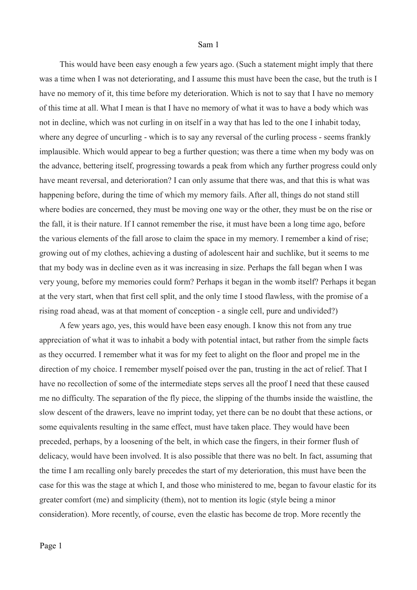This would have been easy enough a few years ago. (Such a statement might imply that there was a time when I was not deteriorating, and I assume this must have been the case, but the truth is I have no memory of it, this time before my deterioration. Which is not to say that I have no memory of this time at all. What I mean is that I have no memory of what it was to have a body which was not in decline, which was not curling in on itself in a way that has led to the one I inhabit today, where any degree of uncurling - which is to say any reversal of the curling process - seems frankly implausible. Which would appear to beg a further question; was there a time when my body was on the advance, bettering itself, progressing towards a peak from which any further progress could only have meant reversal, and deterioration? I can only assume that there was, and that this is what was happening before, during the time of which my memory fails. After all, things do not stand still where bodies are concerned, they must be moving one way or the other, they must be on the rise or the fall, it is their nature. If I cannot remember the rise, it must have been a long time ago, before the various elements of the fall arose to claim the space in my memory. I remember a kind of rise; growing out of my clothes, achieving a dusting of adolescent hair and suchlike, but it seems to me that my body was in decline even as it was increasing in size. Perhaps the fall began when I was very young, before my memories could form? Perhaps it began in the womb itself? Perhaps it began at the very start, when that first cell split, and the only time I stood flawless, with the promise of a rising road ahead, was at that moment of conception - a single cell, pure and undivided?)

A few years ago, yes, this would have been easy enough. I know this not from any true appreciation of what it was to inhabit a body with potential intact, but rather from the simple facts as they occurred. I remember what it was for my feet to alight on the floor and propel me in the direction of my choice. I remember myself poised over the pan, trusting in the act of relief. That I have no recollection of some of the intermediate steps serves all the proof I need that these caused me no difficulty. The separation of the fly piece, the slipping of the thumbs inside the waistline, the slow descent of the drawers, leave no imprint today, yet there can be no doubt that these actions, or some equivalents resulting in the same effect, must have taken place. They would have been preceded, perhaps, by a loosening of the belt, in which case the fingers, in their former flush of delicacy, would have been involved. It is also possible that there was no belt. In fact, assuming that the time I am recalling only barely precedes the start of my deterioration, this must have been the case for this was the stage at which I, and those who ministered to me, began to favour elastic for its greater comfort (me) and simplicity (them), not to mention its logic (style being a minor consideration). More recently, of course, even the elastic has become de trop. More recently the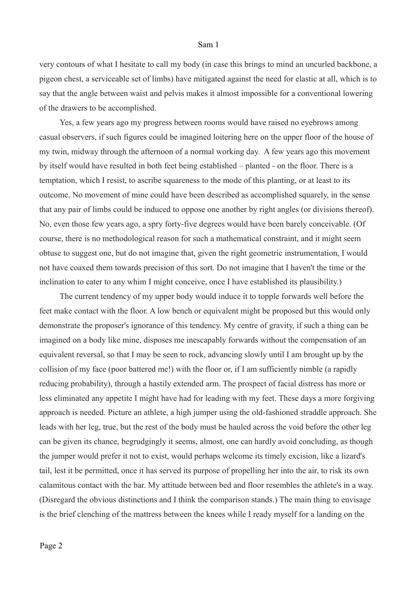very contours of what I hesitate to call my body (in case this brings to mind an uncurled backbone, a pigeon chest, a serviceable set of limbs) have mitigated against the need for elastic at all, which is to say that the angle between waist and pelvis makes it almost impossible for a conventional lowering of the drawers to be accomplished.

Yes, a few years ago my progress between rooms would have raised no eyebrows among casual observers, if such figures could be imagined loitering here on the upper floor of the house of my twin, midway through the afternoon of a normal working day. A few years ago this movement by itself would have resulted in both feet being established – planted - on the floor. There is a temptation, which I resist, to ascribe squareness to the mode of this planting, or at least to its outcome. No movement of mine could have been described as accomplished squarely, in the sense that any pair of limbs could be induced to oppose one another by right angles (or divisions thereof). No, even those few years ago, a spry forty-five degrees would have been barely conceivable. (Of course, there is no methodological reason for such a mathematical constraint, and it might seem obtuse to suggest one, but do not imagine that, given the right geometric instrumentation, I would not have coaxed them towards precision of this sort. Do not imagine that I haven't the time or the inclination to cater to any whim I might conceive, once I have established its plausibility.)

The current tendency of my upper body would induce it to topple forwards well before the feet make contact with the floor. A low bench or equivalent might be proposed but this would only demonstrate the proposer's ignorance of this tendency. My centre of gravity, if such a thing can be imagined on a body like mine, disposes me inescapably forwards without the compensation of an equivalent reversal, so that I may be seen to rock, advancing slowly until I am brought up by the collision of my face (poor battered me!) with the floor or, if I am sufficiently nimble (a rapidly reducing probability), through a hastily extended arm. The prospect of facial distress has more or less eliminated any appetite I might have had for leading with my feet. These days a more forgiving approach is needed. Picture an athlete, a high jumper using the old-fashioned straddle approach. She leads with her leg, true, but the rest of the body must be hauled across the void before the other leg can be given its chance, begrudgingly it seems, almost, one can hardly avoid concluding, as though the jumper would prefer it not to exist, would perhaps welcome its timely excision, like a lizard's tail, lest it be permitted, once it has served its purpose of propelling her into the air, to risk its own calamitous contact with the bar. My attitude between bed and floor resembles the athlete's in a way. (Disregard the obvious distinctions and I think the comparison stands.) The main thing to envisage is the brief clenching of the mattress between the knees while I ready myself for a landing on the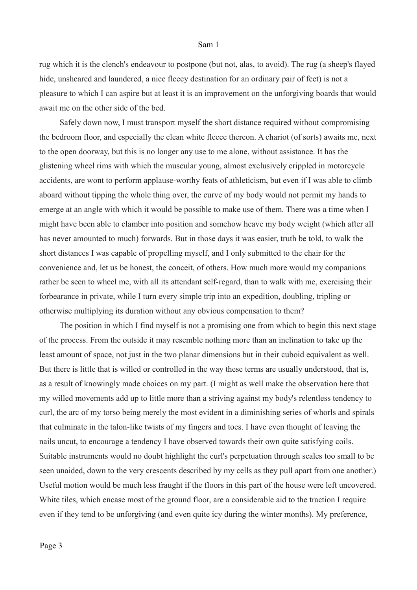rug which it is the clench's endeavour to postpone (but not, alas, to avoid). The rug (a sheep's flayed hide, unsheared and laundered, a nice fleecy destination for an ordinary pair of feet) is not a pleasure to which I can aspire but at least it is an improvement on the unforgiving boards that would await me on the other side of the bed.

Safely down now, I must transport myself the short distance required without compromising the bedroom floor, and especially the clean white fleece thereon. A chariot (of sorts) awaits me, next to the open doorway, but this is no longer any use to me alone, without assistance. It has the glistening wheel rims with which the muscular young, almost exclusively crippled in motorcycle accidents, are wont to perform applause-worthy feats of athleticism, but even if I was able to climb aboard without tipping the whole thing over, the curve of my body would not permit my hands to emerge at an angle with which it would be possible to make use of them. There was a time when I might have been able to clamber into position and somehow heave my body weight (which after all has never amounted to much) forwards. But in those days it was easier, truth be told, to walk the short distances I was capable of propelling myself, and I only submitted to the chair for the convenience and, let us be honest, the conceit, of others. How much more would my companions rather be seen to wheel me, with all its attendant self-regard, than to walk with me, exercising their forbearance in private, while I turn every simple trip into an expedition, doubling, tripling or otherwise multiplying its duration without any obvious compensation to them?

The position in which I find myself is not a promising one from which to begin this next stage of the process. From the outside it may resemble nothing more than an inclination to take up the least amount of space, not just in the two planar dimensions but in their cuboid equivalent as well. But there is little that is willed or controlled in the way these terms are usually understood, that is, as a result of knowingly made choices on my part. (I might as well make the observation here that my willed movements add up to little more than a striving against my body's relentless tendency to curl, the arc of my torso being merely the most evident in a diminishing series of whorls and spirals that culminate in the talon-like twists of my fingers and toes. I have even thought of leaving the nails uncut, to encourage a tendency I have observed towards their own quite satisfying coils. Suitable instruments would no doubt highlight the curl's perpetuation through scales too small to be seen unaided, down to the very crescents described by my cells as they pull apart from one another.) Useful motion would be much less fraught if the floors in this part of the house were left uncovered. White tiles, which encase most of the ground floor, are a considerable aid to the traction I require even if they tend to be unforgiving (and even quite icy during the winter months). My preference,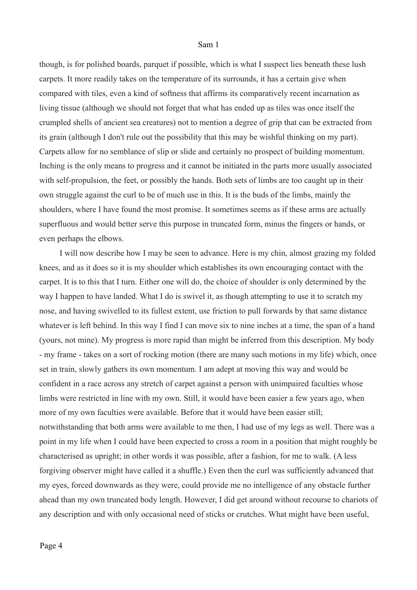though, is for polished boards, parquet if possible, which is what I suspect lies beneath these lush carpets. It more readily takes on the temperature of its surrounds, it has a certain give when compared with tiles, even a kind of softness that affirms its comparatively recent incarnation as living tissue (although we should not forget that what has ended up as tiles was once itself the crumpled shells of ancient sea creatures) not to mention a degree of grip that can be extracted from its grain (although I don't rule out the possibility that this may be wishful thinking on my part). Carpets allow for no semblance of slip or slide and certainly no prospect of building momentum. Inching is the only means to progress and it cannot be initiated in the parts more usually associated with self-propulsion, the feet, or possibly the hands. Both sets of limbs are too caught up in their own struggle against the curl to be of much use in this. It is the buds of the limbs, mainly the shoulders, where I have found the most promise. It sometimes seems as if these arms are actually superfluous and would better serve this purpose in truncated form, minus the fingers or hands, or even perhaps the elbows.

I will now describe how I may be seen to advance. Here is my chin, almost grazing my folded knees, and as it does so it is my shoulder which establishes its own encouraging contact with the carpet. It is to this that I turn. Either one will do, the choice of shoulder is only determined by the way I happen to have landed. What I do is swivel it, as though attempting to use it to scratch my nose, and having swivelled to its fullest extent, use friction to pull forwards by that same distance whatever is left behind. In this way I find I can move six to nine inches at a time, the span of a hand (yours, not mine). My progress is more rapid than might be inferred from this description. My body - my frame - takes on a sort of rocking motion (there are many such motions in my life) which, once set in train, slowly gathers its own momentum. I am adept at moving this way and would be confident in a race across any stretch of carpet against a person with unimpaired faculties whose limbs were restricted in line with my own. Still, it would have been easier a few years ago, when more of my own faculties were available. Before that it would have been easier still; notwithstanding that both arms were available to me then, I had use of my legs as well. There was a point in my life when I could have been expected to cross a room in a position that might roughly be characterised as upright; in other words it was possible, after a fashion, for me to walk. (A less forgiving observer might have called it a shuffle.) Even then the curl was sufficiently advanced that my eyes, forced downwards as they were, could provide me no intelligence of any obstacle further ahead than my own truncated body length. However, I did get around without recourse to chariots of any description and with only occasional need of sticks or crutches. What might have been useful,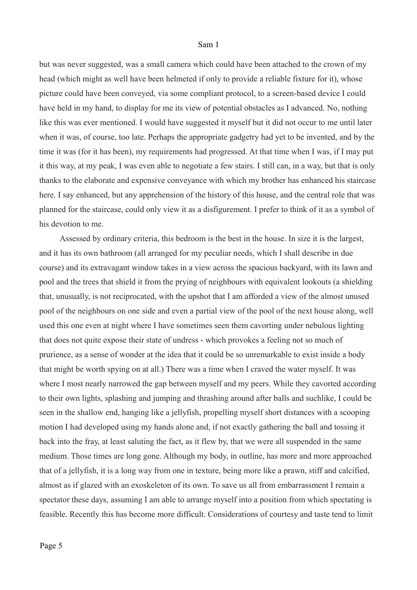but was never suggested, was a small camera which could have been attached to the crown of my head (which might as well have been helmeted if only to provide a reliable fixture for it), whose picture could have been conveyed, via some compliant protocol, to a screen-based device I could have held in my hand, to display for me its view of potential obstacles as I advanced. No, nothing like this was ever mentioned. I would have suggested it myself but it did not occur to me until later when it was, of course, too late. Perhaps the appropriate gadgetry had yet to be invented, and by the time it was (for it has been), my requirements had progressed. At that time when I was, if I may put it this way, at my peak, I was even able to negotiate a few stairs. I still can, in a way, but that is only thanks to the elaborate and expensive conveyance with which my brother has enhanced his staircase here. I say enhanced, but any apprehension of the history of this house, and the central role that was planned for the staircase, could only view it as a disfigurement. I prefer to think of it as a symbol of his devotion to me.

Assessed by ordinary criteria, this bedroom is the best in the house. In size it is the largest, and it has its own bathroom (all arranged for my peculiar needs, which I shall describe in due course) and its extravagant window takes in a view across the spacious backyard, with its lawn and pool and the trees that shield it from the prying of neighbours with equivalent lookouts (a shielding that, unusually, is not reciprocated, with the upshot that I am afforded a view of the almost unused pool of the neighbours on one side and even a partial view of the pool of the next house along, well used this one even at night where I have sometimes seen them cavorting under nebulous lighting that does not quite expose their state of undress - which provokes a feeling not so much of prurience, as a sense of wonder at the idea that it could be so unremarkable to exist inside a body that might be worth spying on at all.) There was a time when I craved the water myself. It was where I most nearly narrowed the gap between myself and my peers. While they cavorted according to their own lights, splashing and jumping and thrashing around after balls and suchlike, I could be seen in the shallow end, hanging like a jellyfish, propelling myself short distances with a scooping motion I had developed using my hands alone and, if not exactly gathering the ball and tossing it back into the fray, at least saluting the fact, as it flew by, that we were all suspended in the same medium. Those times are long gone. Although my body, in outline, has more and more approached that of a jellyfish, it is a long way from one in texture, being more like a prawn, stiff and calcified, almost as if glazed with an exoskeleton of its own. To save us all from embarrassment I remain a spectator these days, assuming I am able to arrange myself into a position from which spectating is feasible. Recently this has become more difficult. Considerations of courtesy and taste tend to limit